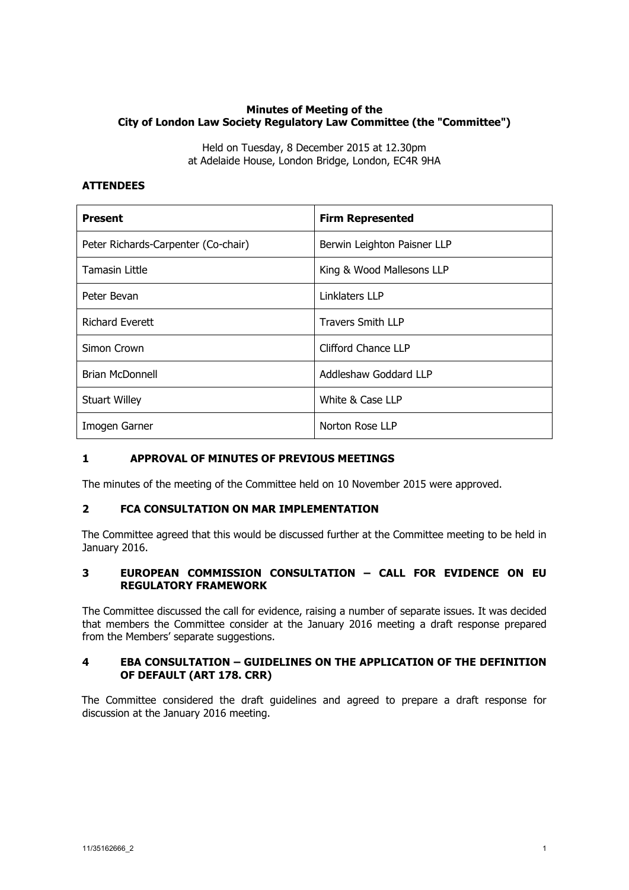# **Minutes of Meeting of the City of London Law Society Regulatory Law Committee (the "Committee")**

Held on Tuesday, 8 December 2015 at 12.30pm at Adelaide House, London Bridge, London, EC4R 9HA

## **ATTENDEES**

| <b>Present</b>                      | <b>Firm Represented</b>     |
|-------------------------------------|-----------------------------|
| Peter Richards-Carpenter (Co-chair) | Berwin Leighton Paisner LLP |
| <b>Tamasin Little</b>               | King & Wood Mallesons LLP   |
| Peter Bevan                         | Linklaters LLP              |
| <b>Richard Everett</b>              | <b>Travers Smith LLP</b>    |
| Simon Crown                         | Clifford Chance LLP         |
| <b>Brian McDonnell</b>              | Addleshaw Goddard LLP       |
| <b>Stuart Willey</b>                | White & Case LLP            |
| Imogen Garner                       | Norton Rose LLP             |

## **1 APPROVAL OF MINUTES OF PREVIOUS MEETINGS**

The minutes of the meeting of the Committee held on 10 November 2015 were approved.

## **2 FCA CONSULTATION ON MAR IMPLEMENTATION**

The Committee agreed that this would be discussed further at the Committee meeting to be held in January 2016.

## **3 EUROPEAN COMMISSION CONSULTATION – CALL FOR EVIDENCE ON EU REGULATORY FRAMEWORK**

The Committee discussed the call for evidence, raising a number of separate issues. It was decided that members the Committee consider at the January 2016 meeting a draft response prepared from the Members' separate suggestions.

#### **4 EBA CONSULTATION – GUIDELINES ON THE APPLICATION OF THE DEFINITION OF DEFAULT (ART 178. CRR)**

The Committee considered the draft guidelines and agreed to prepare a draft response for discussion at the January 2016 meeting.